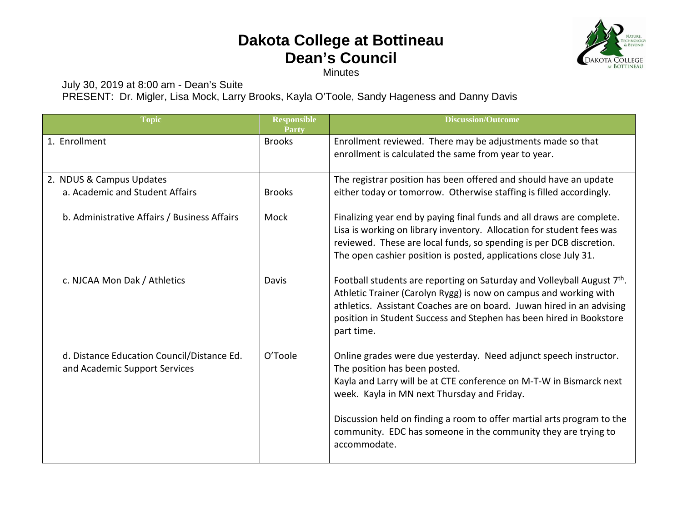## **Dakota College at Bottineau Dean's Council**



Minutes

July 30, 2019 at 8:00 am - Dean's Suite PRESENT: Dr. Migler, Lisa Mock, Larry Brooks, Kayla O'Toole, Sandy Hageness and Danny Davis

| <b>Topic</b>                                                                | <b>Responsible</b><br>Party | <b>Discussion/Outcome</b>                                                                                                                                                                                                                                                                                 |
|-----------------------------------------------------------------------------|-----------------------------|-----------------------------------------------------------------------------------------------------------------------------------------------------------------------------------------------------------------------------------------------------------------------------------------------------------|
| 1. Enrollment                                                               | <b>Brooks</b>               | Enrollment reviewed. There may be adjustments made so that<br>enrollment is calculated the same from year to year.                                                                                                                                                                                        |
| 2. NDUS & Campus Updates                                                    |                             | The registrar position has been offered and should have an update                                                                                                                                                                                                                                         |
| a. Academic and Student Affairs                                             | <b>Brooks</b>               | either today or tomorrow. Otherwise staffing is filled accordingly.                                                                                                                                                                                                                                       |
| b. Administrative Affairs / Business Affairs                                | Mock                        | Finalizing year end by paying final funds and all draws are complete.<br>Lisa is working on library inventory. Allocation for student fees was<br>reviewed. These are local funds, so spending is per DCB discretion.<br>The open cashier position is posted, applications close July 31.                 |
| c. NJCAA Mon Dak / Athletics                                                | Davis                       | Football students are reporting on Saturday and Volleyball August 7th.<br>Athletic Trainer (Carolyn Rygg) is now on campus and working with<br>athletics. Assistant Coaches are on board. Juwan hired in an advising<br>position in Student Success and Stephen has been hired in Bookstore<br>part time. |
| d. Distance Education Council/Distance Ed.<br>and Academic Support Services | O'Toole                     | Online grades were due yesterday. Need adjunct speech instructor.<br>The position has been posted.<br>Kayla and Larry will be at CTE conference on M-T-W in Bismarck next<br>week. Kayla in MN next Thursday and Friday.                                                                                  |
|                                                                             |                             | Discussion held on finding a room to offer martial arts program to the<br>community. EDC has someone in the community they are trying to<br>accommodate.                                                                                                                                                  |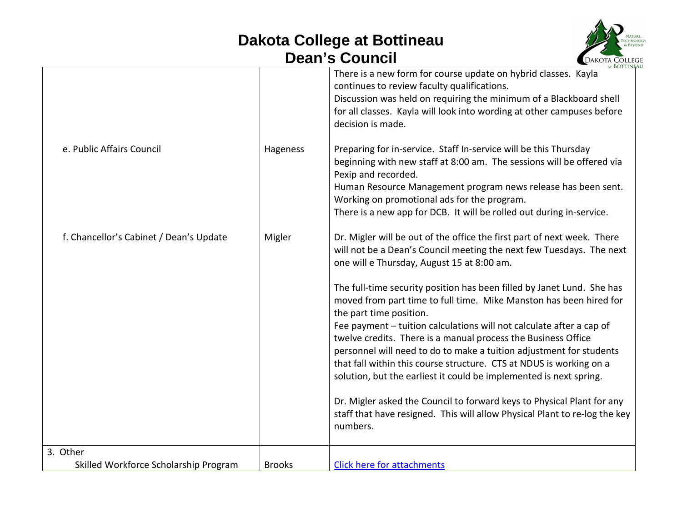## **Dakota College at Bottineau Dean's Council**



|                                         |               | There is a new form for course update on hybrid classes. Kayla<br>continues to review faculty qualifications.<br>Discussion was held on requiring the minimum of a Blackboard shell<br>for all classes. Kayla will look into wording at other campuses before<br>decision is made.                                                                                                      |
|-----------------------------------------|---------------|-----------------------------------------------------------------------------------------------------------------------------------------------------------------------------------------------------------------------------------------------------------------------------------------------------------------------------------------------------------------------------------------|
| e. Public Affairs Council               | Hageness      | Preparing for in-service. Staff In-service will be this Thursday<br>beginning with new staff at 8:00 am. The sessions will be offered via<br>Pexip and recorded.<br>Human Resource Management program news release has been sent.<br>Working on promotional ads for the program.<br>There is a new app for DCB. It will be rolled out during in-service.                                |
| f. Chancellor's Cabinet / Dean's Update | Migler        | Dr. Migler will be out of the office the first part of next week. There<br>will not be a Dean's Council meeting the next few Tuesdays. The next<br>one will e Thursday, August 15 at 8:00 am.                                                                                                                                                                                           |
|                                         |               | The full-time security position has been filled by Janet Lund. She has<br>moved from part time to full time. Mike Manston has been hired for<br>the part time position.<br>Fee payment - tuition calculations will not calculate after a cap of<br>twelve credits. There is a manual process the Business Office<br>personnel will need to do to make a tuition adjustment for students |
|                                         |               | that fall within this course structure. CTS at NDUS is working on a<br>solution, but the earliest it could be implemented is next spring.                                                                                                                                                                                                                                               |
|                                         |               | Dr. Migler asked the Council to forward keys to Physical Plant for any<br>staff that have resigned. This will allow Physical Plant to re-log the key<br>numbers.                                                                                                                                                                                                                        |
| 3. Other                                |               |                                                                                                                                                                                                                                                                                                                                                                                         |
| Skilled Workforce Scholarship Program   | <b>Brooks</b> | <b>Click here for attachments</b>                                                                                                                                                                                                                                                                                                                                                       |